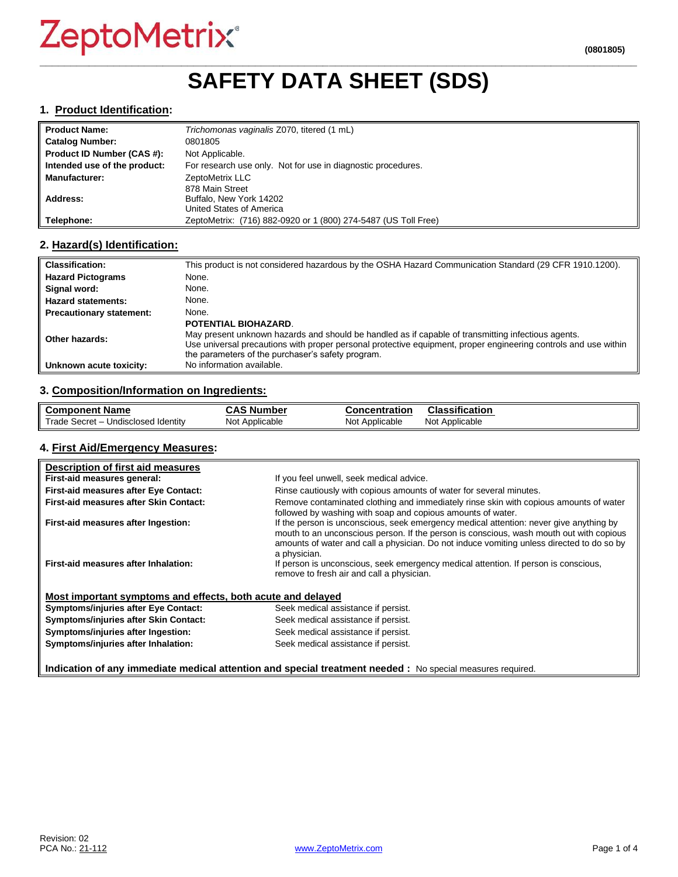# ZeptoMetrix®

### **\_\_\_\_\_\_\_\_\_\_\_\_\_\_\_\_\_\_\_\_\_\_\_\_\_\_\_\_\_\_\_\_\_\_\_\_\_\_\_\_\_\_\_\_\_\_\_\_\_\_\_\_\_\_\_\_\_\_\_\_\_\_\_\_\_\_\_\_\_\_\_\_\_\_\_\_\_\_\_\_\_\_\_\_\_\_\_\_\_\_\_\_\_\_\_\_\_ SAFETY DATA SHEET (SDS)**

#### **1. Product Identification:**

| <b>Product Name:</b>         | Trichomonas vaginalis Z070, titered (1 mL)                     |
|------------------------------|----------------------------------------------------------------|
| <b>Catalog Number:</b>       | 0801805                                                        |
| Product ID Number (CAS #):   | Not Applicable.                                                |
| Intended use of the product: | For research use only. Not for use in diagnostic procedures.   |
| <b>Manufacturer:</b>         | ZeptoMetrix LLC                                                |
|                              | 878 Main Street                                                |
| Address:                     | Buffalo, New York 14202                                        |
|                              | United States of America                                       |
| Telephone:                   | ZeptoMetrix: (716) 882-0920 or 1 (800) 274-5487 (US Toll Free) |

#### **2. Hazard(s) Identification:**

| <b>Classification:</b>          | This product is not considered hazardous by the OSHA Hazard Communication Standard (29 CFR 1910.1200).                                                                                                                                                                                                    |
|---------------------------------|-----------------------------------------------------------------------------------------------------------------------------------------------------------------------------------------------------------------------------------------------------------------------------------------------------------|
| <b>Hazard Pictograms</b>        | None.                                                                                                                                                                                                                                                                                                     |
| Signal word:                    | None.                                                                                                                                                                                                                                                                                                     |
| <b>Hazard statements:</b>       | None.                                                                                                                                                                                                                                                                                                     |
| <b>Precautionary statement:</b> | None.                                                                                                                                                                                                                                                                                                     |
| Other hazards:                  | <b>POTENTIAL BIOHAZARD.</b><br>May present unknown hazards and should be handled as if capable of transmitting infectious agents.<br>Use universal precautions with proper personal protective equipment, proper engineering controls and use within<br>the parameters of the purchaser's safety program. |
| Unknown acute toxicity:         | No information available.                                                                                                                                                                                                                                                                                 |

#### **3. Composition/Information on Ingredients:**

| <b>Component Name</b>                               | $\ddot{\bullet}$<br>، Number<br>טמע | <b>Concentration</b> | Classification    |
|-----------------------------------------------------|-------------------------------------|----------------------|-------------------|
| Trade,<br>Undisclosed Identity<br>– Secret <i>-</i> | Not Applicable                      | Not Applicable       | Applicable<br>Not |

#### **4. First Aid/Emergency Measures:**

| Description of first aid measures                                                                          |                                                                                                                                                                                                                                                                                                |  |
|------------------------------------------------------------------------------------------------------------|------------------------------------------------------------------------------------------------------------------------------------------------------------------------------------------------------------------------------------------------------------------------------------------------|--|
| First-aid measures general:                                                                                | If you feel unwell, seek medical advice.                                                                                                                                                                                                                                                       |  |
| First-aid measures after Eye Contact:                                                                      | Rinse cautiously with copious amounts of water for several minutes.                                                                                                                                                                                                                            |  |
| First-aid measures after Skin Contact:                                                                     | Remove contaminated clothing and immediately rinse skin with copious amounts of water<br>followed by washing with soap and copious amounts of water.                                                                                                                                           |  |
| First-aid measures after Ingestion:                                                                        | If the person is unconscious, seek emergency medical attention: never give anything by<br>mouth to an unconscious person. If the person is conscious, wash mouth out with copious<br>amounts of water and call a physician. Do not induce vomiting unless directed to do so by<br>a physician. |  |
| First-aid measures after Inhalation:                                                                       | If person is unconscious, seek emergency medical attention. If person is conscious,<br>remove to fresh air and call a physician.                                                                                                                                                               |  |
| Most important symptoms and effects, both acute and delayed                                                |                                                                                                                                                                                                                                                                                                |  |
| <b>Symptoms/injuries after Eye Contact:</b>                                                                | Seek medical assistance if persist.                                                                                                                                                                                                                                                            |  |
| Symptoms/injuries after Skin Contact:                                                                      | Seek medical assistance if persist.                                                                                                                                                                                                                                                            |  |
| Symptoms/injuries after Ingestion:                                                                         | Seek medical assistance if persist.                                                                                                                                                                                                                                                            |  |
| Symptoms/injuries after Inhalation:                                                                        | Seek medical assistance if persist.                                                                                                                                                                                                                                                            |  |
| Indication of any immediate medical attention and special treatment needed : No special measures required. |                                                                                                                                                                                                                                                                                                |  |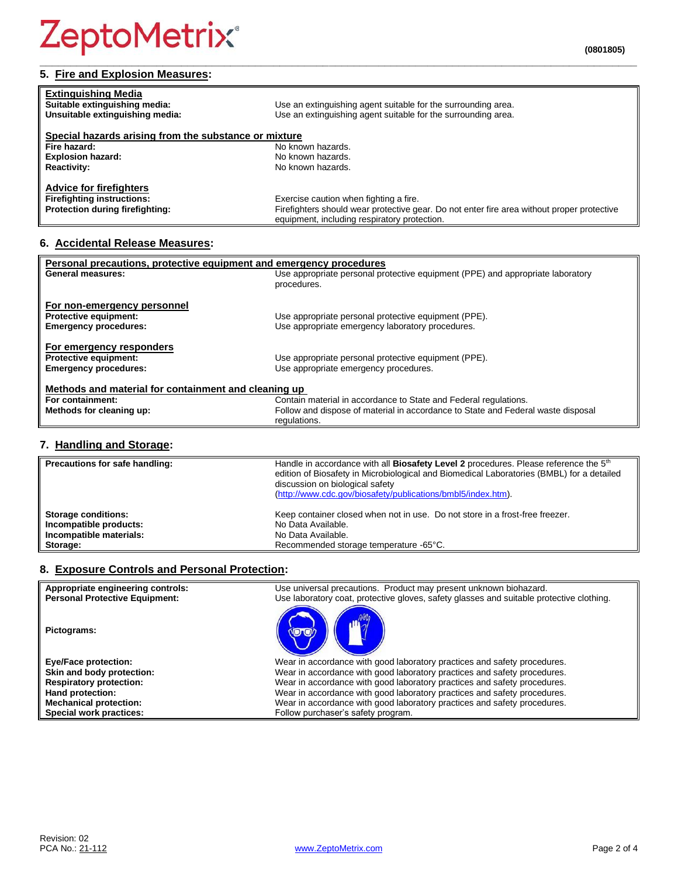### **5. Fire and Explosion Measures:**

| <b>Extinguishing Media</b><br>Suitable extinguishing media:                                            | Use an extinguishing agent suitable for the surrounding area.                                                                                                                        |  |  |
|--------------------------------------------------------------------------------------------------------|--------------------------------------------------------------------------------------------------------------------------------------------------------------------------------------|--|--|
| Unsuitable extinguishing media:                                                                        | Use an extinguishing agent suitable for the surrounding area.                                                                                                                        |  |  |
| Special hazards arising from the substance or mixture                                                  |                                                                                                                                                                                      |  |  |
| Fire hazard:                                                                                           | No known hazards.                                                                                                                                                                    |  |  |
| <b>Explosion hazard:</b>                                                                               | No known hazards.                                                                                                                                                                    |  |  |
| <b>Reactivity:</b>                                                                                     | No known hazards.                                                                                                                                                                    |  |  |
| <b>Advice for firefighters</b><br><b>Firefighting instructions:</b><br>Protection during firefighting: | Exercise caution when fighting a fire.<br>Firefighters should wear protective gear. Do not enter fire area without proper protective<br>equipment, including respiratory protection. |  |  |

**\_\_\_\_\_\_\_\_\_\_\_\_\_\_\_\_\_\_\_\_\_\_\_\_\_\_\_\_\_\_\_\_\_\_\_\_\_\_\_\_\_\_\_\_\_\_\_\_\_\_\_\_\_\_\_\_\_\_\_\_\_\_\_\_\_\_\_\_\_\_\_\_\_\_\_\_\_\_\_\_\_\_\_\_\_\_\_\_\_\_\_\_\_\_\_\_\_**

#### **6. Accidental Release Measures:**

| Personal precautions, protective equipment and emergency procedures |                                                                                  |  |  |
|---------------------------------------------------------------------|----------------------------------------------------------------------------------|--|--|
| <b>General measures:</b>                                            | Use appropriate personal protective equipment (PPE) and appropriate laboratory   |  |  |
|                                                                     | procedures.                                                                      |  |  |
| For non-emergency personnel                                         |                                                                                  |  |  |
| <b>Protective equipment:</b>                                        | Use appropriate personal protective equipment (PPE).                             |  |  |
| <b>Emergency procedures:</b>                                        | Use appropriate emergency laboratory procedures.                                 |  |  |
|                                                                     |                                                                                  |  |  |
| For emergency responders                                            |                                                                                  |  |  |
| <b>Protective equipment:</b>                                        | Use appropriate personal protective equipment (PPE).                             |  |  |
| <b>Emergency procedures:</b>                                        | Use appropriate emergency procedures.                                            |  |  |
| Methods and material for containment and cleaning up                |                                                                                  |  |  |
| For containment:                                                    | Contain material in accordance to State and Federal regulations.                 |  |  |
| Methods for cleaning up:                                            | Follow and dispose of material in accordance to State and Federal waste disposal |  |  |
|                                                                     | regulations.                                                                     |  |  |

#### **7. Handling and Storage:**

| Precautions for safe handling: | Handle in accordance with all <b>Biosafety Level 2</b> procedures. Please reference the 5 <sup>th</sup><br>edition of Biosafety in Microbiological and Biomedical Laboratories (BMBL) for a detailed<br>discussion on biological safety<br>(http://www.cdc.gov/biosafety/publications/bmbl5/index.htm). |
|--------------------------------|---------------------------------------------------------------------------------------------------------------------------------------------------------------------------------------------------------------------------------------------------------------------------------------------------------|
| <b>Storage conditions:</b>     | Keep container closed when not in use. Do not store in a frost-free freezer.                                                                                                                                                                                                                            |
| Incompatible products:         | No Data Available.                                                                                                                                                                                                                                                                                      |
| Incompatible materials:        | No Data Available.                                                                                                                                                                                                                                                                                      |
| Storage:                       | Recommended storage temperature -65°C.                                                                                                                                                                                                                                                                  |

#### **8. Exposure Controls and Personal Protection:**

| Appropriate engineering controls:     | Use universal precautions. Product may present unknown biohazard.                        |
|---------------------------------------|------------------------------------------------------------------------------------------|
| <b>Personal Protective Equipment:</b> | Use laboratory coat, protective gloves, safety glasses and suitable protective clothing. |
| Pictograms:                           |                                                                                          |
| <b>Eye/Face protection:</b>           | Wear in accordance with good laboratory practices and safety procedures.                 |
| Skin and body protection:             | Wear in accordance with good laboratory practices and safety procedures.                 |
| <b>Respiratory protection:</b>        | Wear in accordance with good laboratory practices and safety procedures.                 |
| Hand protection:                      | Wear in accordance with good laboratory practices and safety procedures.                 |
| <b>Mechanical protection:</b>         | Wear in accordance with good laboratory practices and safety procedures.                 |
| Special work practices:               | Follow purchaser's safety program.                                                       |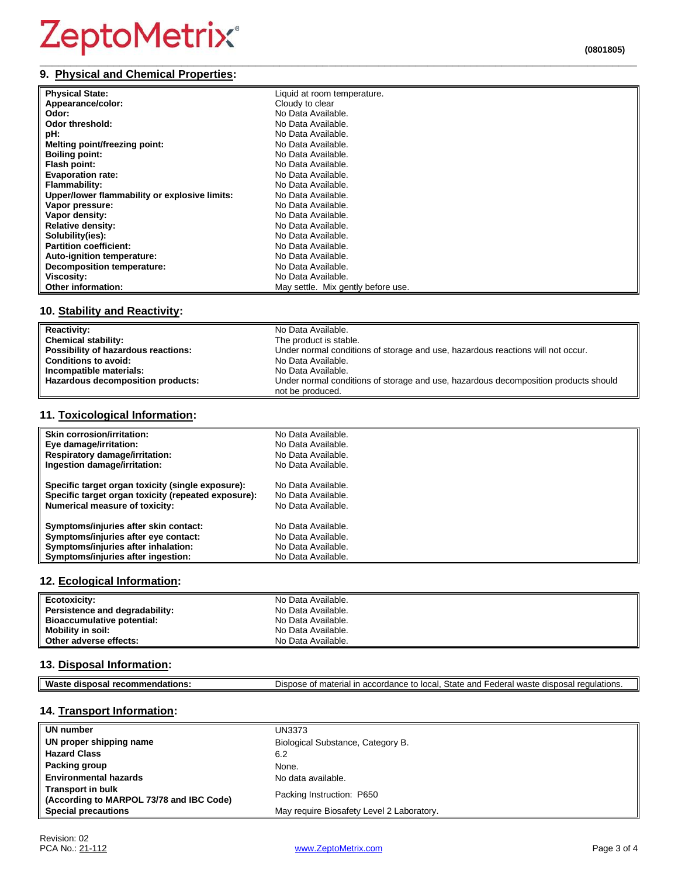## ZeptoMetrix®

#### **9. Physical and Chemical Properties:**

| 9. Ph     | - --- - | ___________<br>_________________ |
|-----------|---------|----------------------------------|
| $- \cdot$ | .       |                                  |

| <b>Physical State:</b>                        | Liquid at room temperature.        |
|-----------------------------------------------|------------------------------------|
| Appearance/color:                             | Cloudy to clear                    |
| Odor:                                         | No Data Available.                 |
| Odor threshold:                               | No Data Available.                 |
| pH:                                           | No Data Available.                 |
| Melting point/freezing point:                 | No Data Available.                 |
| <b>Boiling point:</b>                         | No Data Available.                 |
| Flash point:                                  | No Data Available.                 |
| <b>Evaporation rate:</b>                      | No Data Available.                 |
| Flammability:                                 | No Data Available.                 |
| Upper/lower flammability or explosive limits: | No Data Available.                 |
| Vapor pressure:                               | No Data Available.                 |
| Vapor density:                                | No Data Available.                 |
| <b>Relative density:</b>                      | No Data Available.                 |
| Solubility(ies):                              | No Data Available.                 |
| <b>Partition coefficient:</b>                 | No Data Available.                 |
| Auto-ignition temperature:                    | No Data Available.                 |
| <b>Decomposition temperature:</b>             | No Data Available.                 |
| Viscosity:                                    | No Data Available.                 |
| <b>Other information:</b>                     | May settle. Mix gently before use. |

#### **10. Stability and Reactivity:**

| <b>Reactivity:</b>                  | No Data Available.                                                                  |
|-------------------------------------|-------------------------------------------------------------------------------------|
| <b>Chemical stability:</b>          | The product is stable.                                                              |
| Possibility of hazardous reactions: | Under normal conditions of storage and use, hazardous reactions will not occur.     |
| <b>Conditions to avoid:</b>         | No Data Available.                                                                  |
| Incompatible materials:             | No Data Available.                                                                  |
| Hazardous decomposition products:   | Under normal conditions of storage and use, hazardous decomposition products should |
|                                     | not be produced.                                                                    |

#### **11. Toxicological Information:**

| Skin corrosion/irritation:                          | No Data Available. |
|-----------------------------------------------------|--------------------|
| Eye damage/irritation:                              | No Data Available. |
| <b>Respiratory damage/irritation:</b>               | No Data Available. |
| Ingestion damage/irritation:                        | No Data Available. |
| Specific target organ toxicity (single exposure):   | No Data Available. |
| Specific target organ toxicity (repeated exposure): | No Data Available. |
| <b>Numerical measure of toxicity:</b>               | No Data Available. |
| Symptoms/injuries after skin contact:               | No Data Available. |
| Symptoms/injuries after eye contact:                | No Data Available. |
| Symptoms/injuries after inhalation:                 | No Data Available. |
| Symptoms/injuries after ingestion:                  | No Data Available. |

#### **12. Ecological Information:**

| Ecotoxicity:                   | No Data Available. |
|--------------------------------|--------------------|
| Persistence and degradability: | No Data Available. |
| Bioaccumulative potential:     | No Data Available. |
| <b>Mobility in soil:</b>       | No Data Available. |
| Other adverse effects:         | No Data Available. |

#### **13. Disposal Information:**

| <b>Wast</b><br>овз<br>nл<br>n<br>nn<br>.ste | State and<br>. local ר<br>waste<br>≅lations.<br>, disposa<br>-ederal<br>Dispose<br>-----<br>$+ \sim$<br>dance<br>iai ir<br>тпанег<br>dС<br>aur-<br>$\cdots$<br>⊸ แ∟<br>$\mathbf{u}$ |
|---------------------------------------------|-------------------------------------------------------------------------------------------------------------------------------------------------------------------------------------|

#### **14. Transport Information:**

| UN number                                                            | <b>UN3373</b>                             |
|----------------------------------------------------------------------|-------------------------------------------|
| UN proper shipping name                                              | Biological Substance, Category B.         |
| <b>Hazard Class</b>                                                  | 6.2                                       |
| Packing group                                                        | None.                                     |
| <b>Environmental hazards</b>                                         | No data available.                        |
| <b>Transport in bulk</b><br>(According to MARPOL 73/78 and IBC Code) | Packing Instruction: P650                 |
| <b>Special precautions</b>                                           | May require Biosafety Level 2 Laboratory. |